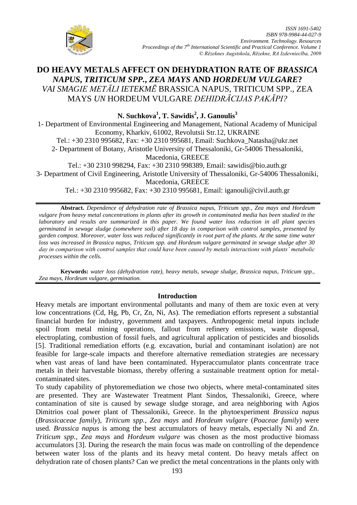

# **DO HEAVY METALS AFFECT ON DEHYDRATION RATE OF** *BRASSICA NAPUS***,** *TRITICUM SPP.***,** *ZEA MAYS* **AND** *HORDEUM VULGARE***?** *VAI SMAGIE METĀLI IETEKMĒ* BRASSICA NAPUS, TRITICUM SPP., ZEA MAYS *UN* HORDEUM VULGARE *DEHIDRĀCIJAS PAKĀPI?*

**N. Suchkova<sup>1</sup> , T. Sawidis<sup>2</sup> , J. Ganoulis<sup>3</sup>** 1- Department of Environmental Engineering and Management, National Academy of Municipal Economy, Kharkiv, 61002, Revolutsii Str.12, UKRAINE Tel.: +30 2310 995682, Fax: +30 2310 995681, Email: [Suchkova\\_Natasha@ukr.net](mailto:Suchkova_Natasha@ukr.net) 2- Department of Botany, Aristotle University of Thessaloniki, Gr-54006 Thessaloniki, Macedonia, GREECE Tel.: +30 2310 998294, Fax: +30 2310 998389, Email: [sawidis@bio.auth.gr](mailto:sawidis@bio.auth.gr) 3- Department of Civil Engineering, Aristotle University of Thessaloniki, Gr-54006 Thessaloniki, Macedonia, GREECE Tel.: +30 2310 995682, Fax: +30 2310 995681, Email: [iganouli@civil.auth.gr](mailto:iganouli@civil.auth.gr)

**Abstract.** *Dependence of dehydration rate of Brassica napus, Triticum spp., Zea mays and Hordeum vulgare from heavy metal concentrations in plants after its growth in contaminated media has been studied in the laboratory and results are summarized in this paper. We found water loss reduction in all plant species germinated in sewage sludge (somewhere soil) after 18 day in comparison with control samples, presented by garden compost. Moreover, water loss was reduced significantly in root part of the plants. At the same time water loss was increased in Brassica napus, Triticum spp. and Hordeum vulgare germinated in sewage sludge after 30 day in comparison with control samples that could have been caused by metals interactions with plants' metabolic processes within the cells.* 

**Keywords:** *water loss (dehydration rate), heavy metals, sewage sludge, Brassica napus, Triticum spp., Zea mays, Hordeum vulgare, germination.*

## **Introduction**

Heavy metals are important environmental pollutants and many of them are toxic even at very low concentrations (Cd, Hg, Pb, Cr, Zn, Ni, As). The remediation efforts represent a substantial financial burden for industry, government and taxpayers. Anthropogenic metal inputs include spoil from metal mining operations, fallout from refinery emissions, waste disposal, electroplating, combustion of fossil fuels, and agricultural application of pesticides and biosolids [5]. Traditional remediation efforts (e.g. excavation, burial and contaminant isolation) are not feasible for large-scale impacts and therefore alternative remediation strategies are necessary when vast areas of land have been contaminated. Hyperaccumulator plants concentrate trace metals in their harvestable biomass, thereby offering a sustainable treatment option for metalcontaminated sites.

To study capability of phytoremediation we chose two objects, where metal-contaminated sites are presented. They are Wastewater Treatment Plant Sindos, Thessaloniki, Greece, where contamination of site is caused by sewage sludge storage, and area neighboring with Agios Dimitrios coal power plant of Thessaloniki, Greece. In the phytoexperiment *Brassica napus* (*Brassicaceae family*), *Triticum spp.*, *Zea mays* and *Hordeum vulgare* (*Poaceae family*) were used. *Brassica napus* is among the best accumulators of heavy metals, especially Ni and Zn. *Triticum spp.*, *Zea mays* and *Hordeum vulgare* was chosen as the most productive biomass accumulators [3]. During the research the main focus was made on controlling of the dependence between water loss of the plants and its heavy metal content. Do heavy metals affect on dehydration rate of chosen plants? Can we predict the metal concentrations in the plants only with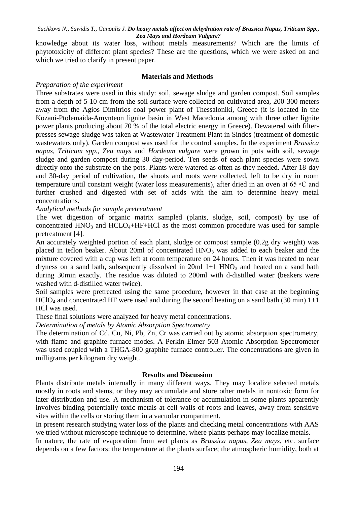knowledge about its water loss, without metals measurements? Which are the limits of phytotoxicity of different plant species? These are the questions, which we were asked on and which we tried to clarify in present paper.

### **Materials and Methods**

## *Preparation of the experiment*

Three substrates were used in this study: soil, sewage sludge and garden compost. Soil samples from a depth of 5-10 cm from the soil surface were collected on cultivated area, 200-300 meters away from the Agios Dimitrios coal power plant of Thessaloniki, Greece (it is located in the Kozani-Ptolemaida-Amynteon lignite basin in West Macedonia among with three other lignite power plants producing about 70 % of the total electric energy in Greece). Dewatered with filterpresses sewage sludge was taken at Wastewater Treatment Plant in Sindos (treatment of domestic wastewaters only). Garden compost was used for the control samples. In the experiment *Brassica napus*, *Triticum spp.*, *Zea mays* and *Hordeum vulgare* were grown in pots with soil, sewage sludge and garden compost during 30 day-period. Ten seeds of each plant species were sown directly onto the substrate on the pots. Plants were watered as often as they needed. After 18-day and 30-day period of cultivation, the shoots and roots were collected, left to be dry in room temperature until constant weight (water loss measurements), after dried in an oven at 65 ◦C and further crushed and digested with set of acids with the aim to determine heavy metal concentrations.

## *Analytical methods for sample pretreatment*

The wet digestion of organic matrix sampled (plants, sludge, soil, compost) by use of concentrated  $HNO<sub>3</sub>$  and  $HCLO<sub>4</sub>+HF+HCl$  as the most common procedure was used for sample pretreatment [4].

An accurately weighted portion of each plant, sludge or compost sample (0.2g dry weight) was placed in teflon beaker. About 20ml of concentrated  $HNO<sub>3</sub>$  was added to each beaker and the mixture covered with a cup was left at room temperature on 24 hours. Then it was heated to near dryness on a sand bath, subsequently dissolved in  $20ml$  1+1 HNO<sub>3</sub> and heated on a sand bath during 30min exactly. The residue was diluted to 200ml with d-distilled water (beakers were washed with d-distilled water twice).

Soil samples were pretreated using the same procedure, however in that case at the beginning  $HCIO<sub>4</sub>$  and concentrated HF were used and during the second heating on a sand bath (30 min)  $1+1$ HCl was used.

These final solutions were analyzed for heavy metal concentrations.

*Determination of metals by Atomic Absorption Spectrometry* 

The determination of Cd, Cu, Ni, Pb, Zn, Cr was carried out by atomic absorption spectrometry, with flame and graphite furnace modes. A Perkin Elmer 503 Atomic Absorption Spectrometer was used coupled with a THGA-800 graphite furnace controller. The concentrations are given in milligrams per kilogram dry weight.

## **Results and Discussion**

Plants distribute metals internally in many different ways. They may localize selected metals mostly in roots and stems, or they may accumulate and store other metals in nontoxic form for later distribution and use. A mechanism of tolerance or accumulation in some plants apparently involves binding potentially toxic metals at cell walls of roots and leaves, away from sensitive sites within the cells or storing them in a vacuolar compartment.

In present research studying water loss of the plants and checking metal concentrations with AAS we tried without microscope technique to determine, where plants perhaps may localize metals.

In nature, the rate of evaporation from wet plants as *Brassica napus*, *Zea mays*, etc. surface depends on a few factors: the temperature at the plants surface; the atmospheric humidity, both at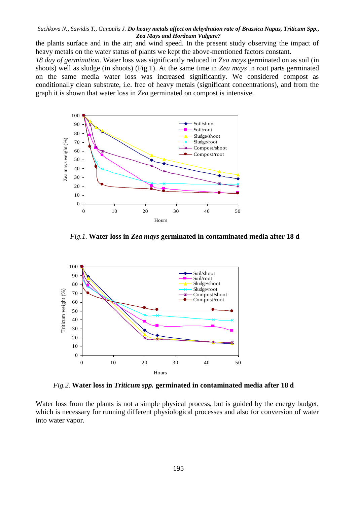the plants surface and in the air; and wind speed. In the present study observing the impact of heavy metals on the water status of plants we kept the above-mentioned factors constant.

*18 day of germination.* Water loss was significantly reduced in *Zea mays* germinated on as soil (in shoots) well as sludge (in shoots) (Fig.1). At the same time in *Zea mays* in root parts germinated on the same media water loss was increased significantly. We considered compost as conditionally clean substrate, i.e. free of heavy metals (significant concentrations), and from the graph it is shown that water loss in *Zea* germinated on compost is intensive.



*Fig.1.* **Water loss in** *Zea mays* **germinated in contaminated media after 18 d**



*Fig.2.* **Water loss in** *Triticum spp.* **germinated in contaminated media after 18 d**

Water loss from the plants is not a simple physical process, but is guided by the energy budget, which is necessary for running different physiological processes and also for conversion of water into water vapor.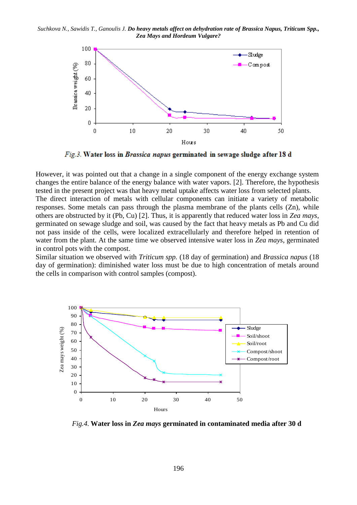

Fig.3. Water loss in Brassica napus germinated in sewage sludge after 18 d

However, it was pointed out that a change in a single component of the energy exchange system changes the entire balance of the energy balance with water vapors. [2]. Therefore, the hypothesis tested in the present project was that heavy metal uptake affects water loss from selected plants.

The direct interaction of metals with cellular components can initiate a variety of metabolic responses. Some metals can pass through the plasma membrane of the plants cells (Zn), while others are obstructed by it (Pb, Cu) [2]. Thus, it is apparently that reduced water loss in *Zea mays*, germinated on sewage sludge and soil, was caused by the fact that heavy metals as Pb and Cu did not pass inside of the cells, were localized extracellularly and therefore helped in retention of water from the plant. At the same time we observed intensive water loss in *Zea mays*, germinated in control pots with the compost.

Similar situation we observed with *Triticum spp.* (18 day of germination) and *Brassica napus* (18 day of germination): diminished water loss must be due to high concentration of metals around the cells in comparison with control samples (compost).



*Fig.4.* **Water loss in** *Zea mays* **germinated in contaminated media after 30 d**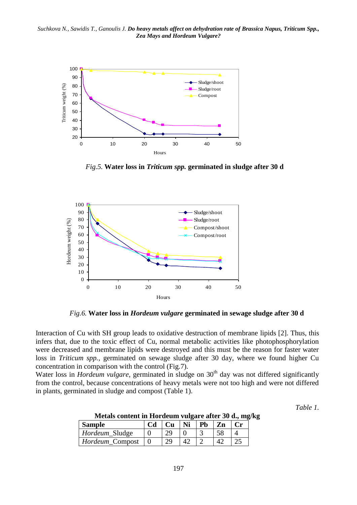

*Fig.5.* **Water loss in** *Triticum spp.* **germinated in sludge after 30 d**



*Fig.6.* **Water loss in** *Hordeum vulgare* **germinated in sewage sludge after 30 d**

Interaction of Cu with SH group leads to oxidative destruction of membrane lipids [2]. Thus, this infers that, due to the toxic effect of Cu, normal metabolic activities like photophosphorylation were decreased and membrane lipids were destroyed and this must be the reason for faster water loss in *Triticum spp.*, germinated on sewage sludge after 30 day, where we found higher Cu concentration in comparison with the control (Fig.7).

Water loss in *Hordeum vulgare*, germinated in sludge on 30<sup>th</sup> day was not differed significantly from the control, because concentrations of heavy metals were not too high and were not differed in plants, germinated in sludge and compost (Table 1).

*Table 1.*

| <b>Sample</b>          | C <sub>d</sub> | Cu | Ni | <b>Pb</b> | Zn |  |
|------------------------|----------------|----|----|-----------|----|--|
| <i>Hordeum</i> Sludge  |                | ാവ |    |           |    |  |
| $H$ ordeum_Compost   0 |                | ാവ |    |           |    |  |

**Metals content in Hordeum vulgare after 30 d., mg/kg**